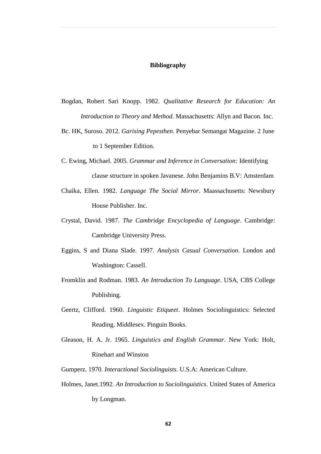## **Bibliography**

- Bogdan, Robert Sari Knopp. 1982. *Qualitative Research for Education: An Introduction to Theory and Method*. Massachusetts: Allyn and Bacon. Inc.
- Bc. HK, Suroso. 2012. *Garising Pepesthen*. Penyebar Semangat Magazine. 2 June to 1 September Edition.
- C. Ewing, Michael. 2005. *Grammar and Inference in Conversation:* Identifying clause structure in spoken Javanese. John Benjamins B.V: Amsterdam
- Chaika, Ellen. 1982. *Language The Social Mirror*. Maassachusetts: Newsbury House Publisher. Inc.
- Crystal, David. 1987. *The Cambridge Encyclopedia of Language*. Cambridge: Cambridge University Press.
- Eggins, S and Diana Slade. 1997. *Analysis Casual Conversation*. London and Washington: Cassell.
- Fromklin and Rodman. 1983. *An Introduction To Language*. USA, CBS College Publishing.
- Geertz, Clifford. 1960. *Linguistic Etiqueet*. Holmes Sociolinguistics: Selected Reading. Middlesex. Pinguin Books.
- Gleason, H. A. Jr. 1965. *Linguistics and English Grammar*. New York: Holt, Rinehart and Winston

Gumperz. 1970. *Interactional Sociolinguists*. U.S.A: American Culture.

Holmes, Janet.1992. *An Introduction to Sociolinguistics*. United States of America by Longman.